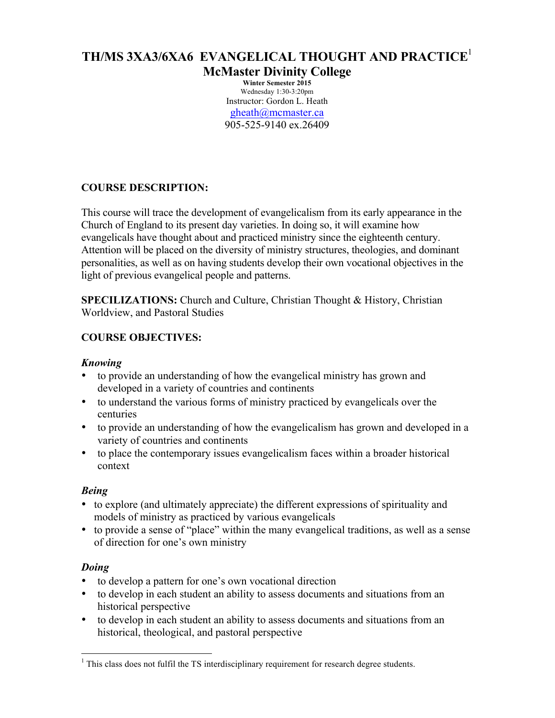# **TH/MS 3XA3/6XA6 EVANGELICAL THOUGHT AND PRACTICE**<sup>1</sup>

**McMaster Divinity College**

**Winter Semester 2015** Wednesday 1:30-3:20pm Instructor: Gordon L. Heath gheath@mcmaster.ca 905-525-9140 ex.26409

# **COURSE DESCRIPTION:**

This course will trace the development of evangelicalism from its early appearance in the Church of England to its present day varieties. In doing so, it will examine how evangelicals have thought about and practiced ministry since the eighteenth century. Attention will be placed on the diversity of ministry structures, theologies, and dominant personalities, as well as on having students develop their own vocational objectives in the light of previous evangelical people and patterns.

**SPECILIZATIONS:** Church and Culture, Christian Thought & History, Christian Worldview, and Pastoral Studies

# **COURSE OBJECTIVES:**

#### *Knowing*

- to provide an understanding of how the evangelical ministry has grown and developed in a variety of countries and continents
- to understand the various forms of ministry practiced by evangelicals over the centuries
- to provide an understanding of how the evangelicalism has grown and developed in a variety of countries and continents
- to place the contemporary issues evangelicalism faces within a broader historical context

## *Being*

- to explore (and ultimately appreciate) the different expressions of spirituality and models of ministry as practiced by various evangelicals
- to provide a sense of "place" within the many evangelical traditions, as well as a sense of direction for one's own ministry

## *Doing*

- to develop a pattern for one's own vocational direction
- to develop in each student an ability to assess documents and situations from an historical perspective
- to develop in each student an ability to assess documents and situations from an historical, theological, and pastoral perspective

<sup>&</sup>lt;sup>1</sup> This class does not fulfil the TS interdisciplinary requirement for research degree students.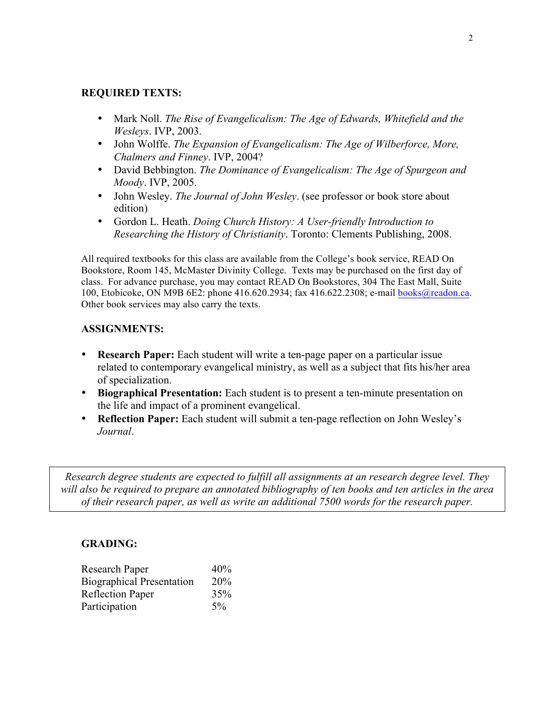#### **REQUIRED TEXTS:**

- Mark Noll. *The Rise of Evangelicalism: The Age of Edwards, Whitefield and the Wesleys*. IVP, 2003.
- John Wolffe. *The Expansion of Evangelicalism: The Age of Wilberforce, More, Chalmers and Finney*. IVP, 2004?
- David Bebbington. *The Dominance of Evangelicalism: The Age of Spurgeon and Moody*. IVP, 2005.
- John Wesley. *The Journal of John Wesley*. (see professor or book store about edition)
- Gordon L. Heath. *Doing Church History: A User-friendly Introduction to Researching the History of Christianity*. Toronto: Clements Publishing, 2008.

All required textbooks for this class are available from the College's book service, READ On Bookstore, Room 145, McMaster Divinity College. Texts may be purchased on the first day of class. For advance purchase, you may contact READ On Bookstores, 304 The East Mall, Suite 100, Etobicoke, ON M9B 6E2: phone 416.620.2934; fax 416.622.2308; e-mail books@readon.ca. Other book services may also carry the texts.

# **ASSIGNMENTS:**

- **Research Paper:** Each student will write a ten-page paper on a particular issue related to contemporary evangelical ministry, as well as a subject that fits his/her area of specialization.
- **Biographical Presentation:** Each student is to present a ten-minute presentation on the life and impact of a prominent evangelical.
- **Reflection Paper:** Each student will submit a ten-page reflection on John Wesley's *Journal*.

*Research degree students are expected to fulfill all assignments at an research degree level. They will also be required to prepare an annotated bibliography of ten books and ten articles in the area of their research paper, as well as write an additional 7500 words for the research paper.*

## **GRADING:**

| Research Paper                   | 40%   |
|----------------------------------|-------|
| <b>Biographical Presentation</b> | 20%   |
| <b>Reflection Paper</b>          | 35%   |
| Participation                    | $5\%$ |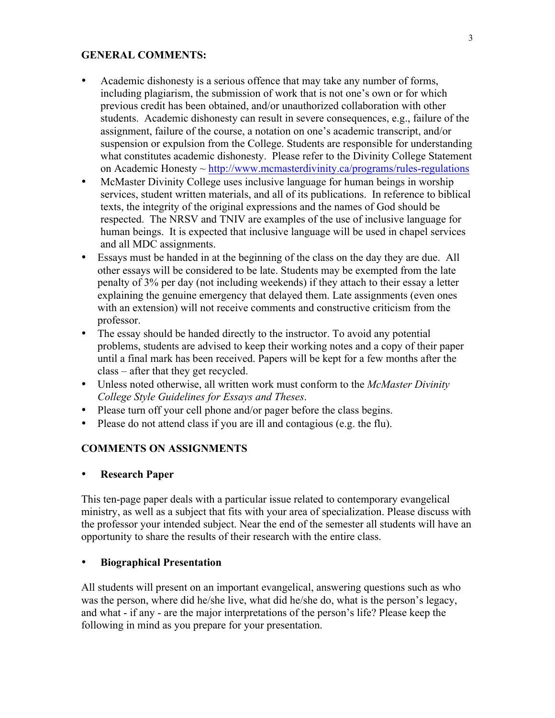#### **GENERAL COMMENTS:**

- Academic dishonesty is a serious offence that may take any number of forms, including plagiarism, the submission of work that is not one's own or for which previous credit has been obtained, and/or unauthorized collaboration with other students. Academic dishonesty can result in severe consequences, e.g., failure of the assignment, failure of the course, a notation on one's academic transcript, and/or suspension or expulsion from the College. Students are responsible for understanding what constitutes academic dishonesty. Please refer to the Divinity College Statement on Academic Honesty ~ http://www.mcmasterdivinity.ca/programs/rules-regulations
- McMaster Divinity College uses inclusive language for human beings in worship services, student written materials, and all of its publications. In reference to biblical texts, the integrity of the original expressions and the names of God should be respected. The NRSV and TNIV are examples of the use of inclusive language for human beings. It is expected that inclusive language will be used in chapel services and all MDC assignments.
- Essays must be handed in at the beginning of the class on the day they are due. All other essays will be considered to be late. Students may be exempted from the late penalty of 3% per day (not including weekends) if they attach to their essay a letter explaining the genuine emergency that delayed them. Late assignments (even ones with an extension) will not receive comments and constructive criticism from the professor.
- The essay should be handed directly to the instructor. To avoid any potential problems, students are advised to keep their working notes and a copy of their paper until a final mark has been received. Papers will be kept for a few months after the class – after that they get recycled.
- Unless noted otherwise, all written work must conform to the *McMaster Divinity College Style Guidelines for Essays and Theses*.
- Please turn off your cell phone and/or pager before the class begins.
- Please do not attend class if you are ill and contagious (e.g. the flu).

#### **COMMENTS ON ASSIGNMENTS**

#### • **Research Paper**

This ten-page paper deals with a particular issue related to contemporary evangelical ministry, as well as a subject that fits with your area of specialization. Please discuss with the professor your intended subject. Near the end of the semester all students will have an opportunity to share the results of their research with the entire class.

#### • **Biographical Presentation**

All students will present on an important evangelical, answering questions such as who was the person, where did he/she live, what did he/she do, what is the person's legacy, and what - if any - are the major interpretations of the person's life? Please keep the following in mind as you prepare for your presentation.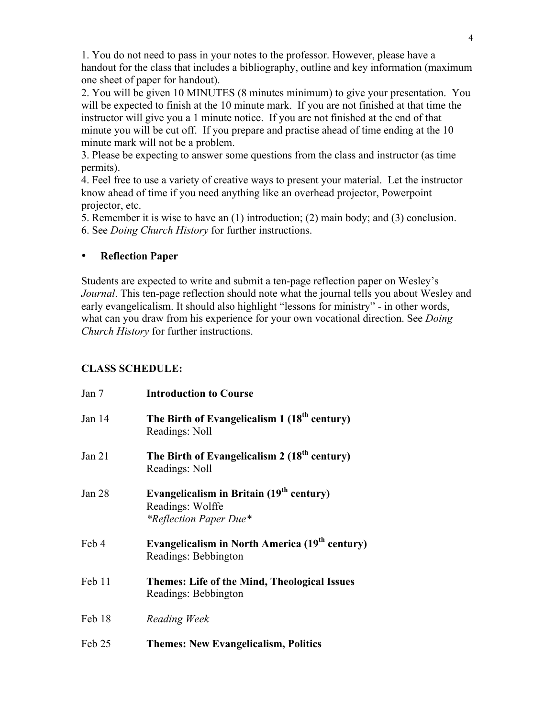1. You do not need to pass in your notes to the professor. However, please have a handout for the class that includes a bibliography, outline and key information (maximum one sheet of paper for handout).

2. You will be given 10 MINUTES (8 minutes minimum) to give your presentation. You will be expected to finish at the 10 minute mark. If you are not finished at that time the instructor will give you a 1 minute notice. If you are not finished at the end of that minute you will be cut off. If you prepare and practise ahead of time ending at the 10 minute mark will not be a problem.

3. Please be expecting to answer some questions from the class and instructor (as time permits).

4. Feel free to use a variety of creative ways to present your material. Let the instructor know ahead of time if you need anything like an overhead projector, Powerpoint projector, etc.

5. Remember it is wise to have an (1) introduction; (2) main body; and (3) conclusion.

6. See *Doing Church History* for further instructions.

## • **Reflection Paper**

Students are expected to write and submit a ten-page reflection paper on Wesley's *Journal*. This ten-page reflection should note what the journal tells you about Wesley and early evangelicalism. It should also highlight "lessons for ministry" - in other words, what can you draw from his experience for your own vocational direction. See *Doing Church History* for further instructions.

# **CLASS SCHEDULE:**

| Jan 7  | <b>Introduction to Course</b>                                                                             |
|--------|-----------------------------------------------------------------------------------------------------------|
| Jan 14 | The Birth of Evangelicalism 1 (18 <sup>th</sup> century)<br>Readings: Noll                                |
| Jan 21 | The Birth of Evangelicalism 2 (18 <sup>th</sup> century)<br>Readings: Noll                                |
| Jan 28 | Evangelicalism in Britain (19 <sup>th</sup> century)<br>Readings: Wolffe<br><i>*Reflection Paper Due*</i> |
| Feb 4  | Evangelicalism in North America (19 <sup>th</sup> century)<br>Readings: Bebbington                        |
| Feb 11 | <b>Themes: Life of the Mind, Theological Issues</b><br>Readings: Bebbington                               |
| Feb 18 | Reading Week                                                                                              |
| Feb 25 | <b>Themes: New Evangelicalism, Politics</b>                                                               |